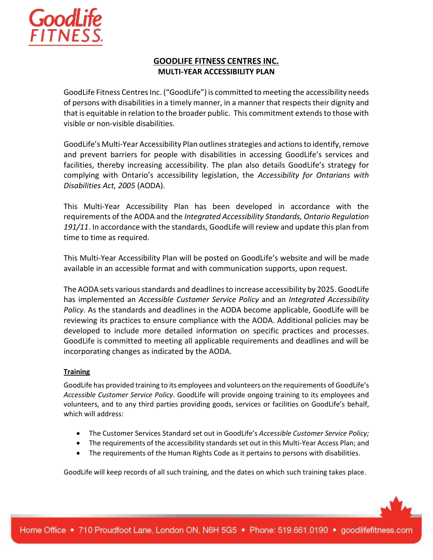

# **GOODLIFE FITNESS CENTRES INC. MULTI-YEAR ACCESSIBILITY PLAN**

GoodLife Fitness Centres Inc. ("GoodLife") is committed to meeting the accessibility needs of persons with disabilities in a timely manner, in a manner that respects their dignity and that is equitable in relation to the broader public. This commitment extends to those with visible or non-visible disabilities.

GoodLife's Multi-Year Accessibility Plan outlines strategies and actions to identify, remove and prevent barriers for people with disabilities in accessing GoodLife's services and facilities, thereby increasing accessibility. The plan also details GoodLife's strategy for complying with Ontario's accessibility legislation, the *Accessibility for Ontarians with Disabilities Act, 2005* (AODA).

This Multi-Year Accessibility Plan has been developed in accordance with the requirements of the AODA and the *Integrated Accessibility Standards, Ontario Regulation 191/11*. In accordance with the standards, GoodLife will review and update this plan from time to time as required.

This Multi-Year Accessibility Plan will be posted on GoodLife's website and will be made available in an accessible format and with communication supports, upon request.

The AODA sets various standards and deadlines to increase accessibility by 2025. GoodLife has implemented an *Accessible Customer Service Policy* and an *Integrated Accessibility Policy*. As the standards and deadlines in the AODA become applicable, GoodLife will be reviewing its practices to ensure compliance with the AODA. Additional policies may be developed to include more detailed information on specific practices and processes. GoodLife is committed to meeting all applicable requirements and deadlines and will be incorporating changes as indicated by the AODA.

### **Training**

GoodLife has provided training to its employees and volunteers on the requirements of GoodLife's *Accessible Customer Service Policy*. GoodLife will provide ongoing training to its employees and volunteers, and to any third parties providing goods, services or facilities on GoodLife's behalf, which will address:

- The Customer Services Standard set out in GoodLife's *Accessible Customer Service Policy;*
- The requirements of the accessibility standards set out in this Multi-Year Access Plan; and
- The requirements of the Human Rights Code as it pertains to persons with disabilities.

GoodLife will keep records of all such training, and the dates on which such training takes place.

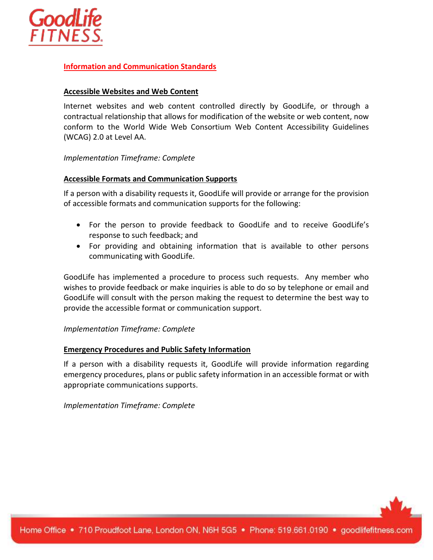

### **Information and Communication Standards**

### **Accessible Websites and Web Content**

Internet websites and web content controlled directly by GoodLife, or through a contractual relationship that allows for modification of the website or web content, now conform to the World Wide Web Consortium Web Content Accessibility Guidelines (WCAG) 2.0 at Level AA.

### *Implementation Timeframe: Complete*

#### **Accessible Formats and Communication Supports**

If a person with a disability requests it, GoodLife will provide or arrange for the provision of accessible formats and communication supports for the following:

- For the person to provide feedback to GoodLife and to receive GoodLife's response to such feedback; and
- For providing and obtaining information that is available to other persons communicating with GoodLife.

GoodLife has implemented a procedure to process such requests. Any member who wishes to provide feedback or make inquiries is able to do so by telephone or email and GoodLife will consult with the person making the request to determine the best way to provide the accessible format or communication support.

### *Implementation Timeframe: Complete*

### **Emergency Procedures and Public Safety Information**

If a person with a disability requests it, GoodLife will provide information regarding emergency procedures, plans or public safety information in an accessible format or with appropriate communications supports.

*Implementation Timeframe: Complete*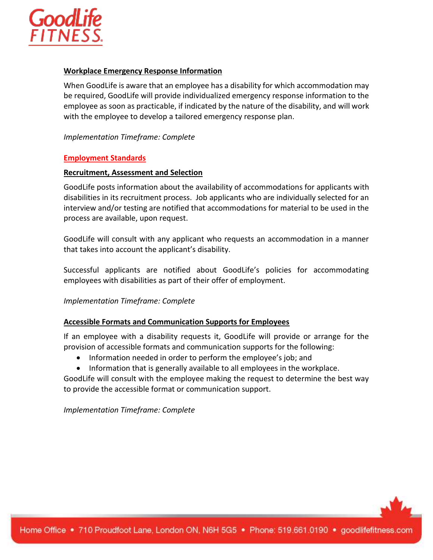

#### **Workplace Emergency Response Information**

When GoodLife is aware that an employee has a disability for which accommodation may be required, GoodLife will provide individualized emergency response information to the employee as soon as practicable, if indicated by the nature of the disability, and will work with the employee to develop a tailored emergency response plan.

*Implementation Timeframe: Complete*

#### **Employment Standards**

#### **Recruitment, Assessment and Selection**

GoodLife posts information about the availability of accommodations for applicants with disabilities in its recruitment process. Job applicants who are individually selected for an interview and/or testing are notified that accommodations for material to be used in the process are available, upon request.

GoodLife will consult with any applicant who requests an accommodation in a manner that takes into account the applicant's disability.

Successful applicants are notified about GoodLife's policies for accommodating employees with disabilities as part of their offer of employment.

*Implementation Timeframe: Complete*

### **Accessible Formats and Communication Supports for Employees**

If an employee with a disability requests it, GoodLife will provide or arrange for the provision of accessible formats and communication supports for the following:

- Information needed in order to perform the employee's job; and
- Information that is generally available to all employees in the workplace.

GoodLife will consult with the employee making the request to determine the best way to provide the accessible format or communication support.

*Implementation Timeframe: Complete*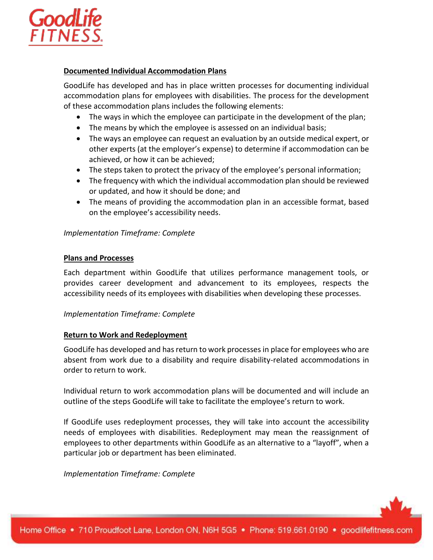

### **Documented Individual Accommodation Plans**

GoodLife has developed and has in place written processes for documenting individual accommodation plans for employees with disabilities. The process for the development of these accommodation plans includes the following elements:

- The ways in which the employee can participate in the development of the plan;
- The means by which the employee is assessed on an individual basis;
- The ways an employee can request an evaluation by an outside medical expert, or other experts (at the employer's expense) to determine if accommodation can be achieved, or how it can be achieved;
- The steps taken to protect the privacy of the employee's personal information;
- The frequency with which the individual accommodation plan should be reviewed or updated, and how it should be done; and
- The means of providing the accommodation plan in an accessible format, based on the employee's accessibility needs.

### *Implementation Timeframe: Complete*

#### **Plans and Processes**

Each department within GoodLife that utilizes performance management tools, or provides career development and advancement to its employees, respects the accessibility needs of its employees with disabilities when developing these processes.

### *Implementation Timeframe: Complete*

### **Return to Work and Redeployment**

GoodLife has developed and has return to work processes in place for employees who are absent from work due to a disability and require disability-related accommodations in order to return to work.

Individual return to work accommodation plans will be documented and will include an outline of the steps GoodLife will take to facilitate the employee's return to work.

If GoodLife uses redeployment processes, they will take into account the accessibility needs of employees with disabilities. Redeployment may mean the reassignment of employees to other departments within GoodLife as an alternative to a "layoff", when a particular job or department has been eliminated.

*Implementation Timeframe: Complete*